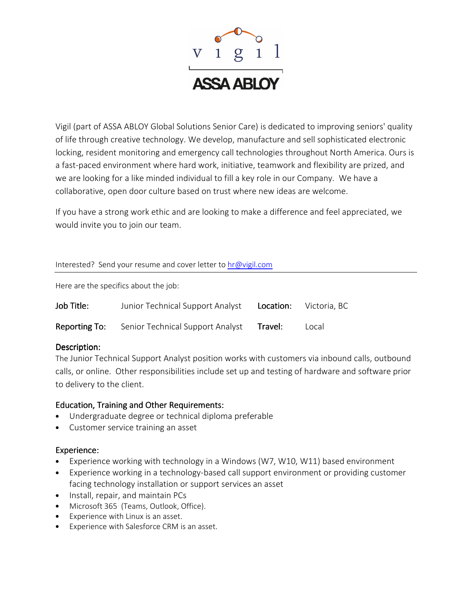

Vigil (part of ASSA ABLOY Global Solutions Senior Care) is dedicated to improving seniors' quality of life through creative technology. We develop, manufacture and sell sophisticated electronic locking, resident monitoring and emergency call technologies throughout North America. Ours is a fast-paced environment where hard work, initiative, teamwork and flexibility are prized, and we are looking for a like minded individual to fill a key role in our Company. We have a collaborative, open door culture based on trust where new ideas are welcome.

If you have a strong work ethic and are looking to make a difference and feel appreciated, we would invite you to join our team.

### Interested? Send your resume and cover letter to hr@vigil.com

Here are the specifics about the job:

| Job Title:    | Junior Technical Support Analyst |         | Location: Victoria, BC |
|---------------|----------------------------------|---------|------------------------|
| Reporting To: | Senior Technical Support Analyst | Travel: | Local                  |

## Description:

The Junior Technical Support Analyst position works with customers via inbound calls, outbound calls, or online. Other responsibilities include set up and testing of hardware and software prior to delivery to the client.

## Education, Training and Other Requirements:

- Undergraduate degree or technical diploma preferable
- Customer service training an asset

## Experience:

- Experience working with technology in a Windows (W7, W10, W11) based environment
- Experience working in a technology-based call support environment or providing customer facing technology installation or support services an asset
- Install, repair, and maintain PCs
- Microsoft 365 (Teams, Outlook, Office).
- Experience with Linux is an asset.
- Experience with Salesforce CRM is an asset.